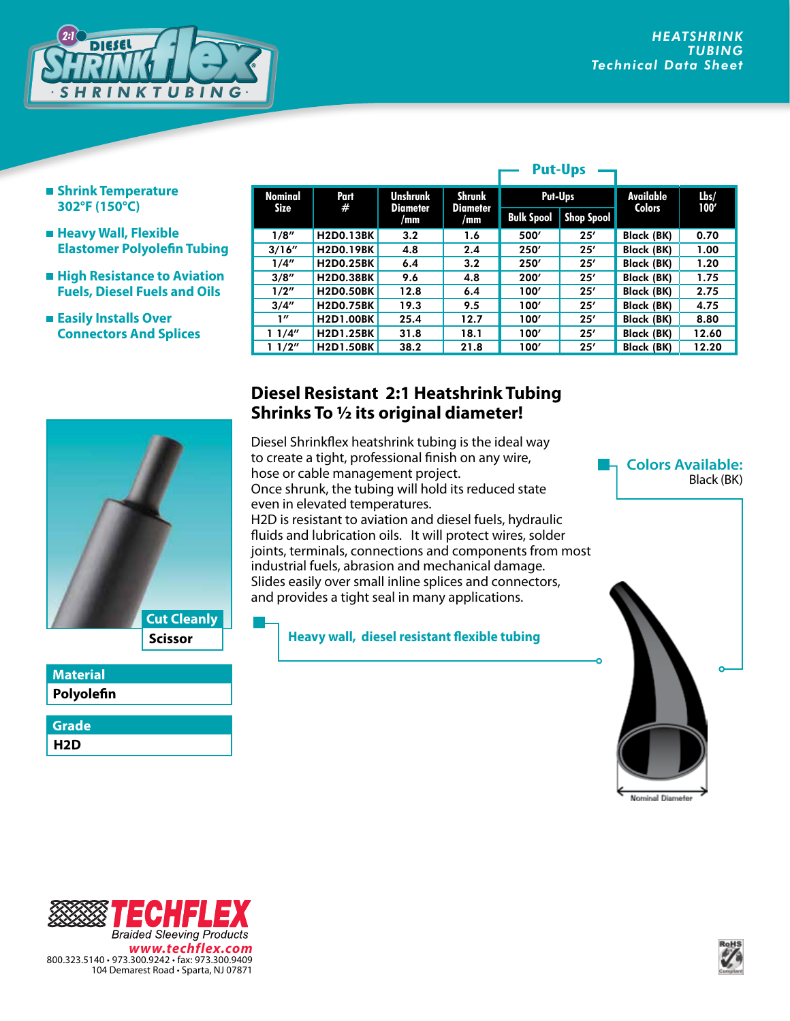

- **Shrink Temperature 302°F (150°C)**
- **Heavy Wall, Flexible Elastomer Polyolefin Tubing**
- **High Resistance to Aviation Fuels, Diesel Fuels and Oils**
- **Easily Installs Over Connectors And Splices**

| <b>Nominal</b><br>Size | Part<br>#        | <b>Unshrunk</b><br>Diameter<br>/mm | <b>Shrunk</b><br><b>Diameter</b><br>/mm | Put-Ups           |                   | Available         | lbs/  |
|------------------------|------------------|------------------------------------|-----------------------------------------|-------------------|-------------------|-------------------|-------|
|                        |                  |                                    |                                         | <b>Bulk Spool</b> | <b>Shop Spool</b> | <b>Colors</b>     | 100'  |
| 1/8''                  | <b>H2D0.13BK</b> | 3.2                                | 1.6                                     | 500'              | 25'               | Black (BK)        | 0.70  |
| 3/16''                 | <b>H2D0.19BK</b> | 4.8                                | 2.4                                     | 250'              | 25'               | Black (BK)        | 1.00  |
| 1/4''                  | <b>H2D0.25BK</b> | 6.4                                | 3.2                                     | 250'              | 25'               | Black (BK)        | 1.20  |
| 3/8''                  | <b>H2D0.38BK</b> | 9.6                                | 4.8                                     | 200'              | 25'               | Black (BK)        | 1.75  |
| 1/2''                  | <b>H2D0.50BK</b> | 12.8                               | 6.4                                     | 100'              | 25'               | Black (BK)        | 2.75  |
| 3/4''                  | <b>H2D0.75BK</b> | 19.3                               | 9.5                                     | 100'              | 25'               | <b>Black (BK)</b> | 4.75  |
| 1''                    | <b>H2D1.00BK</b> | 25.4                               | 12.7                                    | 100'              | 25'               | Black (BK)        | 8.80  |
| 11/4"                  | <b>H2D1.25BK</b> | 31.8                               | 18.1                                    | 100'              | 25'               | Black (BK)        | 12.60 |
| 1/2"                   | <b>H2D1.50BK</b> | 38.2                               | 21.8                                    | 100'              | 25'               | <b>Black (BK)</b> | 12.20 |

**Put-Ups**

## **Scissor Cut Cleanly**

## **Polyolefin Material**

**H2D Grade**

## **Diesel Resistant 2:1 Heatshrink Tubing Shrinks To 1/2 its original diameter!**

Diesel Shrinkflex heatshrink tubing is the ideal way to create a tight, professional finish on any wire, hose or cable management project. Once shrunk, the tubing will hold its reduced state even in elevated temperatures. H2D is resistant to aviation and diesel fuels, hydraulic fluids and lubrication oils. It will protect wires, solder joints, terminals, connections and components from most industrial fuels, abrasion and mechanical damage. Slides easily over small inline splices and connectors, and provides a tight seal in many applications.

**Heavy wall, diesel resistant flexible tubing**



※1 144 ĩ **Braided Sleeving Products** *www.techflex.com* 800.323.5140 • 973.300.9242 • fax: 973.300.9409 104 Demarest Road • Sparta, NJ 07871